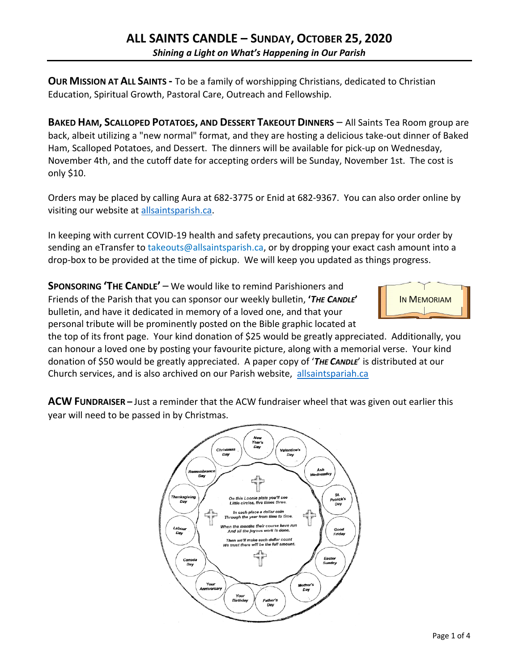**OUR MISSION AT ALL SAINTS -** To be a family of worshipping Christians, dedicated to Christian Education, Spiritual Growth, Pastoral Care, Outreach and Fellowship.

**BAKED HAM, SCALLOPED POTATOES, AND DESSERT TAKEOUT DINNERS** – All Saints Tea Room group are back, albeit utilizing a "new normal" format, and they are hosting a delicious take-out dinner of Baked Ham, Scalloped Potatoes, and Dessert. The dinners will be available for pick-up on Wednesday, November 4th, and the cutoff date for accepting orders will be Sunday, November 1st. The cost is only \$10.

Orders may be placed by calling Aura at 682-3775 or Enid at 682-9367. You can also order online by visiting our website at allsaintsparish.ca.

In keeping with current COVID-19 health and safety precautions, you can prepay for your order by sending an eTransfer to takeouts@allsaintsparish.ca, or by dropping your exact cash amount into a drop-box to be provided at the time of pickup. We will keep you updated as things progress.

**SPONSORING 'THE CANDLE'** – We would like to remind Parishioners and Friends of the Parish that you can sponsor our weekly bulletin, **'***THE CANDLE***'** bulletin, and have it dedicated in memory of a loved one, and that your personal tribute will be prominently posted on the Bible graphic located at



the top of its front page. Your kind donation of \$25 would be greatly appreciated. Additionally, you can honour a loved one by posting your favourite picture, along with a memorial verse. Your kind donation of \$50 would be greatly appreciated. A paper copy of '*THE CANDLE*' is distributed at our Church services, and is also archived on our Parish website, allsaintspariah.ca

**ACW FUNDRAISER –** Just a reminder that the ACW fundraiser wheel that was given out earlier this year will need to be passed in by Christmas.

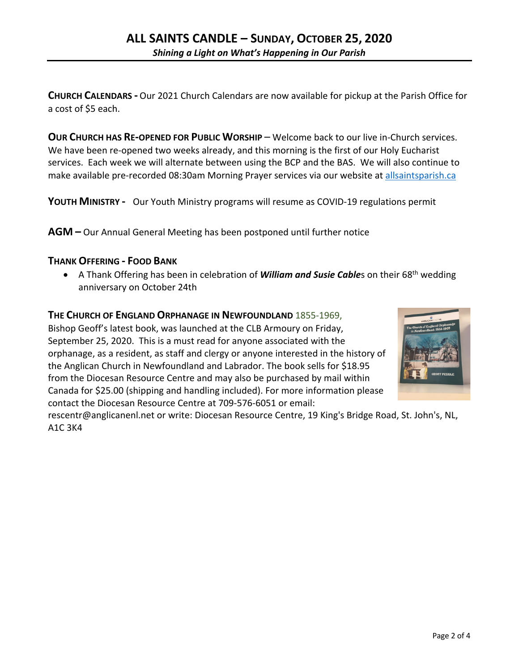**CHURCH CALENDARS -** Our 2021 Church Calendars are now available for pickup at the Parish Office for a cost of \$5 each.

**OUR CHURCH HAS RE-OPENED FOR PUBLIC WORSHIP** – Welcome back to our live in-Church services. We have been re-opened two weeks already, and this morning is the first of our Holy Eucharist services. Each week we will alternate between using the BCP and the BAS. We will also continue to make available pre-recorded 08:30am Morning Prayer services via our website at allsaintsparish.ca

**YOUTH MINISTRY -** Our Youth Ministry programs will resume as COVID-19 regulations permit

**AGM –** Our Annual General Meeting has been postponed until further notice

#### **THANK OFFERING - FOOD BANK**

• A Thank Offering has been in celebration of *William and Susie Cable*s on their 68<sup>th</sup> wedding anniversary on October 24th

#### **THE CHURCH OF ENGLAND ORPHANAGE IN NEWFOUNDLAND** 1855-1969,

Bishop Geoff's latest book, was launched at the CLB Armoury on Friday, September 25, 2020. This is a must read for anyone associated with the orphanage, as a resident, as staff and clergy or anyone interested in the history of the Anglican Church in Newfoundland and Labrador. The book sells for \$18.95 from the Diocesan Resource Centre and may also be purchased by mail within Canada for \$25.00 (shipping and handling included). For more information please contact the Diocesan Resource Centre at 709-576-6051 or email:



rescentr@anglicanenl.net or write: Diocesan Resource Centre, 19 King's Bridge Road, St. John's, NL, A1C 3K4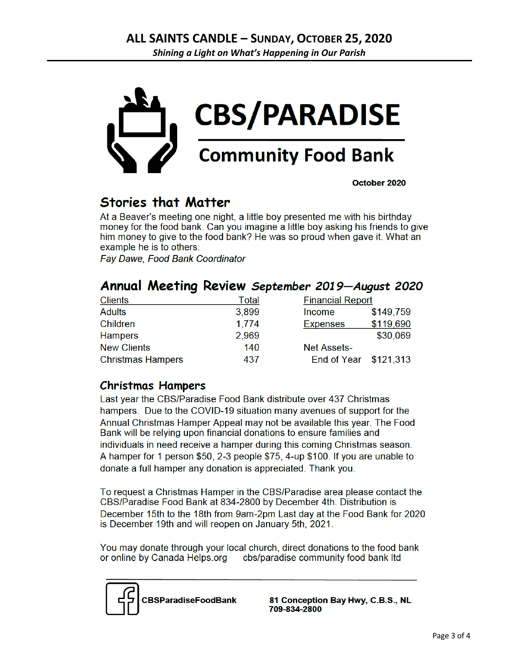

October 2020

## **Stories that Matter**

At a Beaver's meeting one night, a little boy presented me with his birthday money for the food bank. Can you imagine a little boy asking his friends to give him money to give to the food bank? He was so proud when gave it. What an example he is to others.

**Fav Dawe, Food Bank Coordinator** 

|  |  |  |  | Annual Meeting Review September 2019-August 2020 |  |
|--|--|--|--|--------------------------------------------------|--|
|--|--|--|--|--------------------------------------------------|--|

| <b>Clients</b>           | Total | <b>Financial Report</b> |           |
|--------------------------|-------|-------------------------|-----------|
| <b>Adults</b>            | 3,899 | Income                  | \$149,759 |
| Children                 | 1.774 | <b>Expenses</b>         | \$119,690 |
| <b>Hampers</b>           | 2,969 |                         | \$30,069  |
| <b>New Clients</b>       | 140   | <b>Net Assets-</b>      |           |
| <b>Christmas Hampers</b> | 437   | End of Year \$121,313   |           |

### **Christmas Hampers**

Last year the CBS/Paradise Food Bank distribute over 437 Christmas hampers. Due to the COVID-19 situation many avenues of support for the Annual Christmas Hamper Appeal may not be available this year. The Food Bank will be relying upon financial donations to ensure families and individuals in need receive a hamper during this coming Christmas season. A hamper for 1 person \$50, 2-3 people \$75, 4-up \$100. If you are unable to donate a full hamper any donation is appreciated. Thank you.

To request a Christmas Hamper in the CBS/Paradise area please contact the CBS/Paradise Food Bank at 834-2800 by December 4th. Distribution is December 15th to the 18th from 9am-2pm Last day at the Food Bank for 2020 is December 19th and will reopen on January 5th, 2021.

You may donate through your local church, direct donations to the food bank or online by Canada Helps.org cbs/paradise community food bank ltd



81 Conception Bay Hwy, C.B.S., NL 709-834-2800